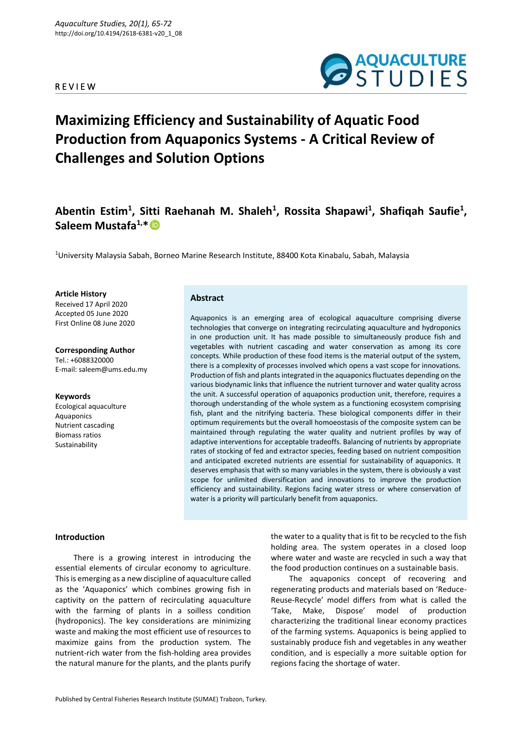# R E V I E W



# **Maximizing Efficiency and Sustainability of Aquatic Food Production from Aquaponics Systems - A Critical Review of Challenges and Solution Options**

# **Abentin Estim<sup>1</sup> , Sitti Raehanah M. Shaleh<sup>1</sup> , Rossita Shapawi<sup>1</sup> , Shafiqah Saufie<sup>1</sup> , Saleem Mustafa1,\***

<sup>1</sup>University Malaysia Sabah, Borneo Marine Research Institute, 88400 Kota Kinabalu, Sabah, Malaysia

**Article History** Received 17 April 2020 Accepted 05 June 2020 First Online 08 June 2020

**Corresponding Author** Tel.: +6088320000 E-mail: saleem@ums.edu.my

#### **Keywords**

Ecological aquaculture Aquaponics Nutrient cascading Biomass ratios Sustainability

# **Abstract**

Aquaponics is an emerging area of ecological aquaculture comprising diverse technologies that converge on integrating recirculating aquaculture and hydroponics in one production unit. It has made possible to simultaneously produce fish and vegetables with nutrient cascading and water conservation as among its core concepts. While production of these food items is the material output of the system, there is a complexity of processes involved which opens a vast scope for innovations. Production of fish and plants integrated in the aquaponics fluctuates depending on the various biodynamic links that influence the nutrient turnover and water quality across the unit. A successful operation of aquaponics production unit, therefore, requires a thorough understanding of the whole system as a functioning ecosystem comprising fish, plant and the nitrifying bacteria. These biological components differ in their optimum requirements but the overall homoeostasis of the composite system can be maintained through regulating the water quality and nutrient profiles by way of adaptive interventions for acceptable tradeoffs. Balancing of nutrients by appropriate rates of stocking of fed and extractor species, feeding based on nutrient composition and anticipated excreted nutrients are essential for sustainability of aquaponics. It deserves emphasis that with so many variables in the system, there is obviously a vast scope for unlimited diversification and innovations to improve the production efficiency and sustainability. Regions facing water stress or where conservation of water is a priority will particularly benefit from aquaponics.

#### **Introduction**

There is a growing interest in introducing the essential elements of circular economy to agriculture. This is emerging as a new discipline of aquaculture called as the 'Aquaponics' which combines growing fish in captivity on the pattern of recirculating aquaculture with the farming of plants in a soilless condition (hydroponics). The key considerations are minimizing waste and making the most efficient use of resources to maximize gains from the production system. The nutrient-rich water from the fish-holding area provides the natural manure for the plants, and the plants purify the water to a quality that is fit to be recycled to the fish holding area. The system operates in a closed loop where water and waste are recycled in such a way that the food production continues on a sustainable basis.

The aquaponics concept of recovering and regenerating products and materials based on 'Reduce-Reuse-Recycle' model differs from what is called the 'Take, Make, Dispose' model of production characterizing the traditional linear economy practices of the farming systems. Aquaponics is being applied to sustainably produce fish and vegetables in any weather condition, and is especially a more suitable option for regions facing the shortage of water.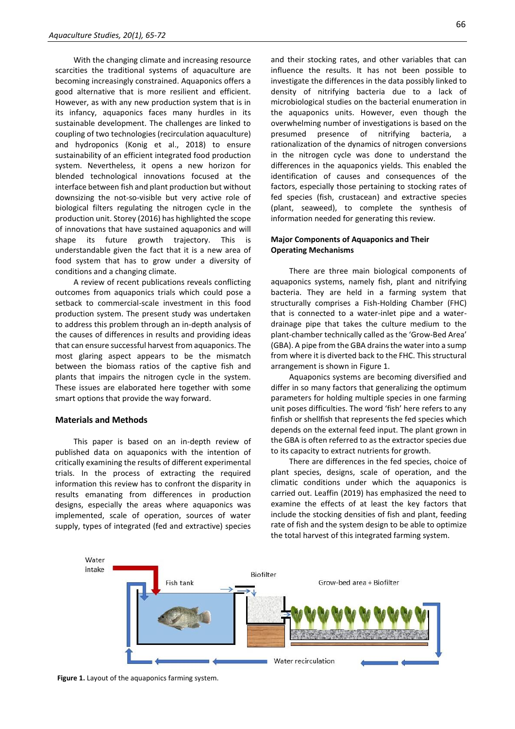With the changing climate and increasing resource scarcities the traditional systems of aquaculture are becoming increasingly constrained. Aquaponics offers a good alternative that is more resilient and efficient. However, as with any new production system that is in its infancy, aquaponics faces many hurdles in its sustainable development. The challenges are linked to coupling of two technologies (recirculation aquaculture) and hydroponics (Konig et al., 2018) to ensure sustainability of an efficient integrated food production system. Nevertheless, it opens a new horizon for blended technological innovations focused at the interface between fish and plant production but without downsizing the not-so-visible but very active role of biological filters regulating the nitrogen cycle in the production unit. Storey (2016) has highlighted the scope of innovations that have sustained aquaponics and will shape its future growth trajectory. This is understandable given the fact that it is a new area of food system that has to grow under a diversity of conditions and a changing climate.

A review of recent publications reveals conflicting outcomes from aquaponics trials which could pose a setback to commercial-scale investment in this food production system. The present study was undertaken to address this problem through an in-depth analysis of the causes of differences in results and providing ideas that can ensure successful harvest from aquaponics. The most glaring aspect appears to be the mismatch between the biomass ratios of the captive fish and plants that impairs the nitrogen cycle in the system. These issues are elaborated here together with some smart options that provide the way forward.

#### **Materials and Methods**

This paper is based on an in-depth review of published data on aquaponics with the intention of critically examining the results of different experimental trials. In the process of extracting the required information this review has to confront the disparity in results emanating from differences in production designs, especially the areas where aquaponics was implemented, scale of operation, sources of water supply, types of integrated (fed and extractive) species

and their stocking rates, and other variables that can influence the results. It has not been possible to investigate the differences in the data possibly linked to density of nitrifying bacteria due to a lack of microbiological studies on the bacterial enumeration in the aquaponics units. However, even though the overwhelming number of investigations is based on the presumed presence of nitrifying bacteria, a rationalization of the dynamics of nitrogen conversions in the nitrogen cycle was done to understand the differences in the aquaponics yields. This enabled the identification of causes and consequences of the factors, especially those pertaining to stocking rates of fed species (fish, crustacean) and extractive species (plant, seaweed), to complete the synthesis of information needed for generating this review.

### **Major Components of Aquaponics and Their Operating Mechanisms**

There are three main biological components of aquaponics systems, namely fish, plant and nitrifying bacteria. They are held in a farming system that structurally comprises a Fish-Holding Chamber (FHC) that is connected to a water-inlet pipe and a waterdrainage pipe that takes the culture medium to the plant-chamber technically called as the 'Grow-Bed Area' (GBA). A pipe from the GBA drains the water into a sump from where it is diverted back to the FHC. This structural arrangement is shown in Figure 1.

Aquaponics systems are becoming diversified and differ in so many factors that generalizing the optimum parameters for holding multiple species in one farming unit poses difficulties. The word 'fish' here refers to any finfish or shellfish that represents the fed species which depends on the external feed input. The plant grown in the GBA is often referred to as the extractor species due to its capacity to extract nutrients for growth.

There are differences in the fed species, choice of plant species, designs, scale of operation, and the climatic conditions under which the aquaponics is carried out. Leaffin (2019) has emphasized the need to examine the effects of at least the key factors that include the stocking densities of fish and plant, feeding rate of fish and the system design to be able to optimize the total harvest of this integrated farming system.



**Figure 1.** Layout of the aquaponics farming system.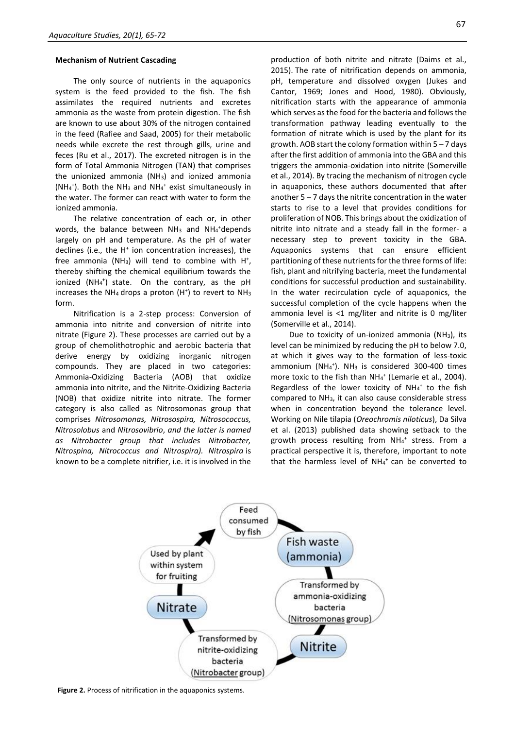#### **Mechanism of Nutrient Cascading**

The only source of nutrients in the aquaponics system is the feed provided to the fish. The fish assimilates the required nutrients and excretes ammonia as the waste from protein digestion. The fish are known to use about 30% of the nitrogen contained in the feed (Rafiee and Saad, 2005) for their metabolic needs while excrete the rest through gills, urine and feces (Ru et al., 2017). The excreted nitrogen is in the form of Total Ammonia Nitrogen (TAN) that comprises the unionized ammonia (NH3) and ionized ammonia ( $NH_4^+$ ). Both the NH<sub>3</sub> and NH<sub>4</sub><sup>+</sup> exist simultaneously in the water. The former can react with water to form the ionized ammonia.

The relative concentration of each or, in other words, the balance between NH<sub>3</sub> and NH<sub>4</sub>+depends largely on pH and temperature. As the pH of water declines (i.e., the H<sup>+</sup> ion concentration increases), the free ammonia (NH<sub>3</sub>) will tend to combine with  $H^*$ , thereby shifting the chemical equilibrium towards the ionized (NH<sub>4</sub><sup>+</sup>) state. On the contrary, as the pH increases the NH<sub>4</sub> drops a proton  $(H<sup>+</sup>)$  to revert to NH<sub>3</sub> form.

Nitrification is a 2-step process: Conversion of ammonia into nitrite and conversion of nitrite into nitrate (Figure 2). These processes are carried out by a group of chemolithotrophic and aerobic bacteria that derive energy by oxidizing inorganic nitrogen compounds. They are placed in two categories: Ammonia-Oxidizing Bacteria (AOB) that oxidize ammonia into nitrite, and the Nitrite-Oxidizing Bacteria (NOB) that oxidize nitrite into nitrate. The former category is also called as Nitrosomonas group that comprises *Nitrosomonas, Nitrosospira, Nitrosococcus, Nitrosolobus* and *Nitrosovibrio*, *and the latter is named as Nitrobacter group that includes Nitrobacter, Nitrospina, Nitrococcus and Nitrospira). Nitrospira* is known to be a complete nitrifier, i.e. it is involved in the

production of both nitrite and nitrate (Daims et al., 2015). The rate of nitrification depends on ammonia, pH, temperature and dissolved oxygen (Jukes and Cantor, 1969; Jones and Hood, 1980). Obviously, nitrification starts with the appearance of ammonia which serves as the food for the bacteria and follows the transformation pathway leading eventually to the formation of nitrate which is used by the plant for its growth. AOB start the colony formation within 5 – 7 days after the first addition of ammonia into the GBA and this triggers the ammonia-oxidation into nitrite (Somerville et al., 2014). By tracing the mechanism of nitrogen cycle in aquaponics, these authors documented that after another 5 – 7 days the nitrite concentration in the water starts to rise to a level that provides conditions for proliferation of NOB. This brings about the oxidization of nitrite into nitrate and a steady fall in the former- a necessary step to prevent toxicity in the GBA. Aquaponics systems that can ensure efficient partitioning of these nutrients for the three forms of life: fish, plant and nitrifying bacteria, meet the fundamental conditions for successful production and sustainability. In the water recirculation cycle of aquaponics, the successful completion of the cycle happens when the ammonia level is <1 mg/liter and nitrite is 0 mg/liter (Somerville et al., 2014).

Due to toxicity of un-ionized ammonia (NH3), its level can be minimized by reducing the pH to below 7.0, at which it gives way to the formation of less-toxic ammonium (NH<sub>4</sub><sup>+</sup>). NH<sub>3</sub> is considered 300-400 times more toxic to the fish than NH<sub>4</sub><sup>+</sup> (Lemarie et al., 2004). Regardless of the lower toxicity of  $NH_4^+$  to the fish compared to NH3, it can also cause considerable stress when in concentration beyond the tolerance level. Working on Nile tilapia (*Oreochromis niloticus*), Da Silva et al. (2013) published data showing setback to the growth process resulting from NH4<sup>+</sup> stress. From a practical perspective it is, therefore, important to note that the harmless level of NH<sub>4</sub><sup>+</sup> can be converted to



**Figure 2.** Process of nitrification in the aquaponics systems.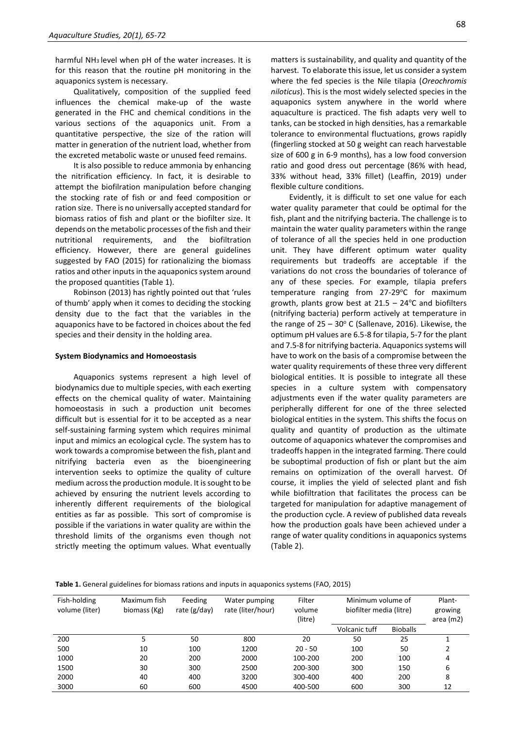harmful NH3 level when pH of the water increases. It is for this reason that the routine pH monitoring in the aquaponics system is necessary.

Qualitatively, composition of the supplied feed influences the chemical make-up of the waste generated in the FHC and chemical conditions in the various sections of the aquaponics unit. From a quantitative perspective, the size of the ration will matter in generation of the nutrient load, whether from the excreted metabolic waste or unused feed remains.

It is also possible to reduce ammonia by enhancing the nitrification efficiency. In fact, it is desirable to attempt the biofilration manipulation before changing the stocking rate of fish or and feed composition or ration size. There is no universally accepted standard for biomass ratios of fish and plant or the biofilter size. It depends on the metabolic processes of the fish and their nutritional requirements, and the biofiltration efficiency. However, there are general guidelines suggested by FAO (2015) for rationalizing the biomass ratios and other inputs in the aquaponics system around the proposed quantities (Table 1).

Robinson (2013) has rightly pointed out that 'rules of thumb' apply when it comes to deciding the stocking density due to the fact that the variables in the aquaponics have to be factored in choices about the fed species and their density in the holding area.

#### **System Biodynamics and Homoeostasis**

Aquaponics systems represent a high level of biodynamics due to multiple species, with each exerting effects on the chemical quality of water. Maintaining homoeostasis in such a production unit becomes difficult but is essential for it to be accepted as a near self-sustaining farming system which requires minimal input and mimics an ecological cycle. The system has to work towards a compromise between the fish, plant and nitrifying bacteria even as the bioengineering intervention seeks to optimize the quality of culture medium across the production module. It is sought to be achieved by ensuring the nutrient levels according to inherently different requirements of the biological entities as far as possible. This sort of compromise is possible if the variations in water quality are within the threshold limits of the organisms even though not strictly meeting the optimum values. What eventually

matters is sustainability, and quality and quantity of the harvest. To elaborate this issue, let us consider a system where the fed species is the Nile tilapia (*Oreochromis niloticus*). This is the most widely selected species in the aquaponics system anywhere in the world where aquaculture is practiced. The fish adapts very well to tanks, can be stocked in high densities, has a remarkable tolerance to environmental fluctuations, grows rapidly (fingerling stocked at 50 g weight can reach harvestable size of 600 g in 6-9 months), has a low food conversion ratio and good dress out percentage (86% with head, 33% without head, 33% fillet) (Leaffin, 2019) under flexible culture conditions.

Evidently, it is difficult to set one value for each water quality parameter that could be optimal for the fish, plant and the nitrifying bacteria. The challenge is to maintain the water quality parameters within the range of tolerance of all the species held in one production unit. They have different optimum water quality requirements but tradeoffs are acceptable if the variations do not cross the boundaries of tolerance of any of these species. For example, tilapia prefers temperature ranging from  $27-29$ °C for maximum growth, plants grow best at  $21.5 - 24$ <sup>o</sup>C and biofilters (nitrifying bacteria) perform actively at temperature in the range of  $25 - 30^{\circ}$  C (Sallenave, 2016). Likewise, the optimum pH values are 6.5-8 for tilapia, 5-7 for the plant and 7.5-8 for nitrifying bacteria. Aquaponics systems will have to work on the basis of a compromise between the water quality requirements of these three very different biological entities. It is possible to integrate all these species in a culture system with compensatory adjustments even if the water quality parameters are peripherally different for one of the three selected biological entities in the system. This shifts the focus on quality and quantity of production as the ultimate outcome of aquaponics whatever the compromises and tradeoffs happen in the integrated farming. There could be suboptimal production of fish or plant but the aim remains on optimization of the overall harvest. Of course, it implies the yield of selected plant and fish while biofiltration that facilitates the process can be targeted for manipulation for adaptive management of the production cycle. A review of published data reveals how the production goals have been achieved under a range of water quality conditions in aquaponics systems (Table 2).

**Table 1.** General guidelines for biomass rations and inputs in aquaponics systems (FAO, 2015)

| Fish-holding<br>volume (liter) | Maximum fish<br>biomass (Kg) | Feeding<br>rate $(g/day)$ | Water pumping<br>rate (liter/hour) | Filter<br>volume<br>(litre) | Minimum volume of<br>biofilter media (litre) |                 | Plant-<br>growing<br>area $(m2)$ |
|--------------------------------|------------------------------|---------------------------|------------------------------------|-----------------------------|----------------------------------------------|-----------------|----------------------------------|
|                                |                              |                           |                                    |                             | Volcanic tuff                                | <b>Bioballs</b> |                                  |
| 200                            |                              | 50                        | 800                                | 20                          | 50                                           | 25              |                                  |
| 500                            | 10                           | 100                       | 1200                               | $20 - 50$                   | 100                                          | 50              |                                  |
| 1000                           | 20                           | 200                       | 2000                               | 100-200                     | 200                                          | 100             | 4                                |
| 1500                           | 30                           | 300                       | 2500                               | 200-300                     | 300                                          | 150             | 6                                |
| 2000                           | 40                           | 400                       | 3200                               | 300-400                     | 400                                          | 200             | 8                                |
| 3000                           | 60                           | 600                       | 4500                               | 400-500                     | 600                                          | 300             | 12                               |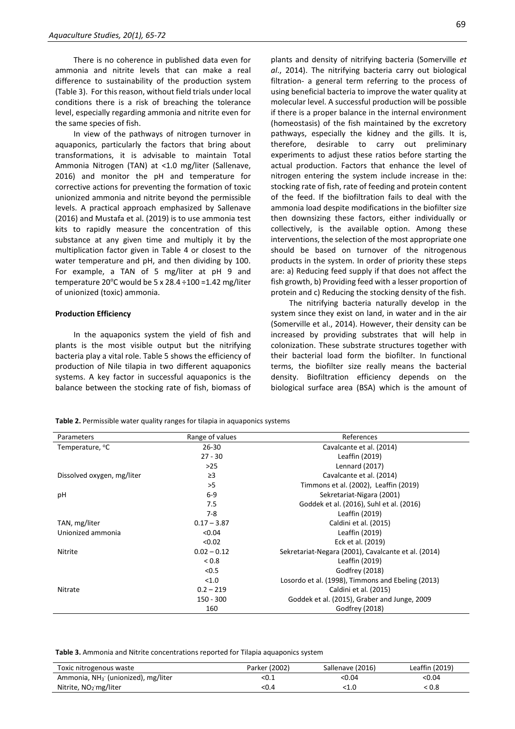There is no coherence in published data even for ammonia and nitrite levels that can make a real difference to sustainability of the production system (Table 3). For this reason, without field trials under local conditions there is a risk of breaching the tolerance level, especially regarding ammonia and nitrite even for the same species of fish.

In view of the pathways of nitrogen turnover in aquaponics, particularly the factors that bring about transformations, it is advisable to maintain Total Ammonia Nitrogen (TAN) at <1.0 mg/liter (Sallenave, 2016) and monitor the pH and temperature for corrective actions for preventing the formation of toxic unionized ammonia and nitrite beyond the permissible levels. A practical approach emphasized by Sallenave (2016) and Mustafa et al. (2019) is to use ammonia test kits to rapidly measure the concentration of this substance at any given time and multiply it by the multiplication factor given in Table 4 or closest to the water temperature and pH, and then dividing by 100. For example, a TAN of 5 mg/liter at pH 9 and temperature 20 $^{\circ}$ C would be 5 x 28.4 ÷100 =1.42 mg/liter of unionized (toxic) ammonia.

#### **Production Efficiency**

In the aquaponics system the yield of fish and plants is the most visible output but the nitrifying bacteria play a vital role. Table 5 shows the efficiency of production of Nile tilapia in two different aquaponics systems. A key factor in successful aquaponics is the balance between the stocking rate of fish, biomass of

plants and density of nitrifying bacteria (Somerville *et al*., 2014). The nitrifying bacteria carry out biological filtration- a general term referring to the process of using beneficial bacteria to improve the water quality at molecular level. A successful production will be possible if there is a proper balance in the internal environment (homeostasis) of the fish maintained by the excretory pathways, especially the kidney and the gills. It is, therefore, desirable to carry out preliminary experiments to adjust these ratios before starting the actual production. Factors that enhance the level of nitrogen entering the system include increase in the: stocking rate of fish, rate of feeding and protein content of the feed. If the biofiltration fails to deal with the ammonia load despite modifications in the biofilter size then downsizing these factors, either individually or collectively, is the available option. Among these interventions, the selection of the most appropriate one should be based on turnover of the nitrogenous products in the system. In order of priority these steps are: a) Reducing feed supply if that does not affect the fish growth, b) Providing feed with a lesser proportion of protein and c) Reducing the stocking density of the fish.

The nitrifying bacteria naturally develop in the system since they exist on land, in water and in the air (Somerville et al., 2014). However, their density can be increased by providing substrates that will help in colonization. These substrate structures together with their bacterial load form the biofilter. In functional terms, the biofilter size really means the bacterial density. Biofiltration efficiency depends on the biological surface area (BSA) which is the amount of

**Table 2.** Permissible water quality ranges for tilapia in aquaponics systems

| Parameters                 | Range of values | References                                          |
|----------------------------|-----------------|-----------------------------------------------------|
| Temperature, °C            | $26 - 30$       | Cavalcante et al. (2014)                            |
|                            | $27 - 30$       | Leaffin (2019)                                      |
|                            | $>25$           | Lennard (2017)                                      |
| Dissolved oxygen, mg/liter | $\geq$ 3        | Cavalcante et al. (2014)                            |
|                            | >5              | Timmons et al. (2002), Leaffin (2019)               |
| pH                         | $6-9$           | Sekretariat-Nigara (2001)                           |
|                            | 7.5             | Goddek et al. (2016), Suhl et al. (2016)            |
|                            | 7-8             | Leaffin (2019)                                      |
| TAN, mg/liter              | $0.17 - 3.87$   | Caldini et al. (2015)                               |
| Unionized ammonia          | < 0.04          | Leaffin (2019)                                      |
|                            | < 0.02          | Eck et al. (2019)                                   |
| <b>Nitrite</b>             | $0.02 - 0.12$   | Sekretariat-Negara (2001), Cavalcante et al. (2014) |
|                            | ${}_{0.8}$      | Leaffin (2019)                                      |
|                            | < 0.5           | Godfrey (2018)                                      |
|                            | < 1.0           | Losordo et al. (1998), Timmons and Ebeling (2013)   |
| Nitrate                    | $0.2 - 219$     | Caldini et al. (2015)                               |
|                            | 150 - 300       | Goddek et al. (2015), Graber and Junge, 2009        |
|                            | 160             | Godfrey (2018)                                      |

**Table 3.** Ammonia and Nitrite concentrations reported for Tilapia aquaponics system

| Toxic nitrogenous waste                 | Parker (2002) | Sallenave (2016) | Leaffin (2019) |
|-----------------------------------------|---------------|------------------|----------------|
| Ammonia, $NH_3^-$ (unionized), mg/liter | <0.⊥          | <0.04            | <0.04          |
| Nitrite, $NO2$ mg/liter                 | <0.4          | :1.0             | ፡ 0.8          |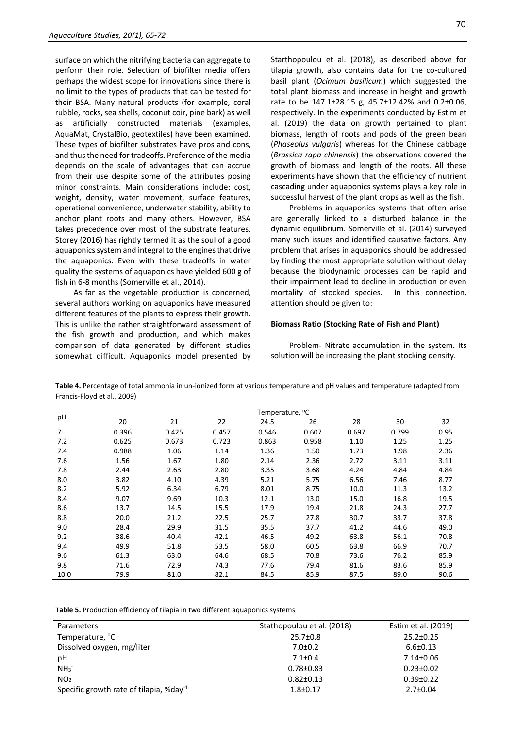surface on which the nitrifying bacteria can aggregate to perform their role. Selection of biofilter media offers perhaps the widest scope for innovations since there is no limit to the types of products that can be tested for their BSA. Many natural products (for example, coral rubble, rocks, sea shells, coconut coir, pine bark) as well as artificially constructed materials (examples, AquaMat, CrystalBio, geotextiles) have been examined. These types of biofilter substrates have pros and cons, and thus the need for tradeoffs. Preference of the media depends on the scale of advantages that can accrue from their use despite some of the attributes posing minor constraints. Main considerations include: cost, weight, density, water movement, surface features, operational convenience, underwater stability, ability to anchor plant roots and many others. However, BSA takes precedence over most of the substrate features. Storey (2016) has rightly termed it as the soul of a good aquaponics system and integral to the engines that drive the aquaponics. Even with these tradeoffs in water quality the systems of aquaponics have yielded 600 g of fish in 6-8 months (Somerville et al., 2014).

As far as the vegetable production is concerned, several authors working on aquaponics have measured different features of the plants to express their growth. This is unlike the rather straightforward assessment of the fish growth and production, and which makes comparison of data generated by different studies somewhat difficult. Aquaponics model presented by Starthopoulou et al. (2018), as described above for tilapia growth, also contains data for the co-cultured basil plant (*Ocimum basilicum*) which suggested the total plant biomass and increase in height and growth rate to be 147.1±28.15 g, 45.7±12.42% and 0.2±0.06, respectively. In the experiments conducted by Estim et al. (2019) the data on growth pertained to plant biomass, length of roots and pods of the green bean (*Phaseolus vulgaris*) whereas for the Chinese cabbage (*Brassica rapa chinensis*) the observations covered the growth of biomass and length of the roots. All these experiments have shown that the efficiency of nutrient cascading under aquaponics systems plays a key role in successful harvest of the plant crops as well as the fish.

Problems in aquaponics systems that often arise are generally linked to a disturbed balance in the dynamic equilibrium. Somerville et al. (2014) surveyed many such issues and identified causative factors. Any problem that arises in aquaponics should be addressed by finding the most appropriate solution without delay because the biodynamic processes can be rapid and their impairment lead to decline in production or even mortality of stocked species. In this connection, attention should be given to:

#### **Biomass Ratio (Stocking Rate of Fish and Plant)**

Problem- Nitrate accumulation in the system. Its solution will be increasing the plant stocking density.

**Table 4.** Percentage of total ammonia in un-ionized form at various temperature and pH values and temperature (adapted from Francis-Floyd et al., 2009)

|                |       |       |       | Temperature, <sup>o</sup> C |       |       |       |      |
|----------------|-------|-------|-------|-----------------------------|-------|-------|-------|------|
| pH             | 20    | 21    | 22    | 24.5                        | 26    | 28    | 30    | 32   |
| $\overline{7}$ | 0.396 | 0.425 | 0.457 | 0.546                       | 0.607 | 0.697 | 0.799 | 0.95 |
| 7.2            | 0.625 | 0.673 | 0.723 | 0.863                       | 0.958 | 1.10  | 1.25  | 1.25 |
| 7.4            | 0.988 | 1.06  | 1.14  | 1.36                        | 1.50  | 1.73  | 1.98  | 2.36 |
| 7.6            | 1.56  | 1.67  | 1.80  | 2.14                        | 2.36  | 2.72  | 3.11  | 3.11 |
| 7.8            | 2.44  | 2.63  | 2.80  | 3.35                        | 3.68  | 4.24  | 4.84  | 4.84 |
| 8.0            | 3.82  | 4.10  | 4.39  | 5.21                        | 5.75  | 6.56  | 7.46  | 8.77 |
| 8.2            | 5.92  | 6.34  | 6.79  | 8.01                        | 8.75  | 10.0  | 11.3  | 13.2 |
| 8.4            | 9.07  | 9.69  | 10.3  | 12.1                        | 13.0  | 15.0  | 16.8  | 19.5 |
| 8.6            | 13.7  | 14.5  | 15.5  | 17.9                        | 19.4  | 21.8  | 24.3  | 27.7 |
| 8.8            | 20.0  | 21.2  | 22.5  | 25.7                        | 27.8  | 30.7  | 33.7  | 37.8 |
| 9.0            | 28.4  | 29.9  | 31.5  | 35.5                        | 37.7  | 41.2  | 44.6  | 49.0 |
| 9.2            | 38.6  | 40.4  | 42.1  | 46.5                        | 49.2  | 63.8  | 56.1  | 70.8 |
| 9.4            | 49.9  | 51.8  | 53.5  | 58.0                        | 60.5  | 63.8  | 66.9  | 70.7 |
| 9.6            | 61.3  | 63.0  | 64.6  | 68.5                        | 70.8  | 73.6  | 76.2  | 85.9 |
| 9.8            | 71.6  | 72.9  | 74.3  | 77.6                        | 79.4  | 81.6  | 83.6  | 85.9 |
| 10.0           | 79.9  | 81.0  | 82.1  | 84.5                        | 85.9  | 87.5  | 89.0  | 90.6 |

**Table 5.** Production efficiency of tilapia in two different aquaponics systems

| Parameters                                          | Stathopoulou et al. (2018) | Estim et al. (2019) |
|-----------------------------------------------------|----------------------------|---------------------|
| Temperature, °C                                     | $25.7 \pm 0.8$             | $25.2 \pm 0.25$     |
| Dissolved oxygen, mg/liter                          | $7.0 \pm 0.2$              | $6.6 \pm 0.13$      |
| рH                                                  | $7.1 \pm 0.4$              | $7.14 \pm 0.06$     |
| NH <sub>3</sub>                                     | $0.78 \pm 0.83$            | $0.23 \pm 0.02$     |
| NO <sub>2</sub>                                     | $0.82 \pm 0.13$            | $0.39 \pm 0.22$     |
| Specific growth rate of tilapia, %day <sup>-1</sup> | $1.8 + 0.17$               | $2.7 \pm 0.04$      |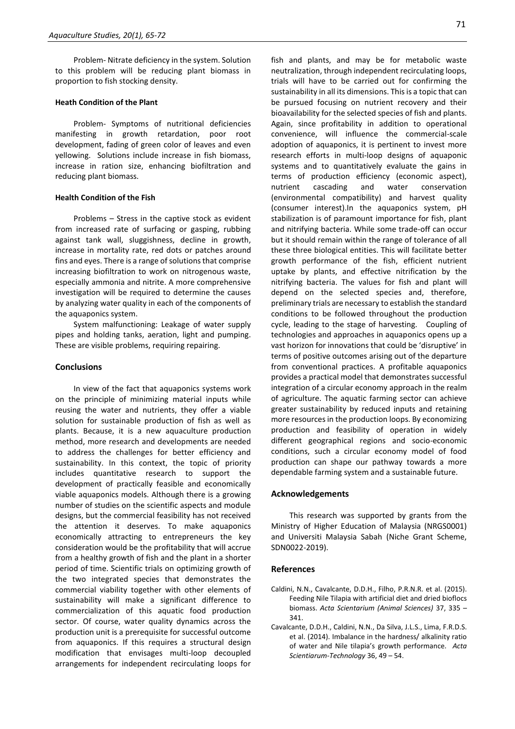Problem- Nitrate deficiency in the system. Solution to this problem will be reducing plant biomass in proportion to fish stocking density.

#### **Heath Condition of the Plant**

Problem- Symptoms of nutritional deficiencies manifesting in growth retardation, poor root development, fading of green color of leaves and even yellowing. Solutions include increase in fish biomass, increase in ration size, enhancing biofiltration and reducing plant biomass.

# **Health Condition of the Fish**

Problems – Stress in the captive stock as evident from increased rate of surfacing or gasping, rubbing against tank wall, sluggishness, decline in growth, increase in mortality rate, red dots or patches around fins and eyes. There is a range of solutions that comprise increasing biofiltration to work on nitrogenous waste, especially ammonia and nitrite. A more comprehensive investigation will be required to determine the causes by analyzing water quality in each of the components of the aquaponics system.

System malfunctioning: Leakage of water supply pipes and holding tanks, aeration, light and pumping. These are visible problems, requiring repairing.

# **Conclusions**

In view of the fact that aquaponics systems work on the principle of minimizing material inputs while reusing the water and nutrients, they offer a viable solution for sustainable production of fish as well as plants. Because, it is a new aquaculture production method, more research and developments are needed to address the challenges for better efficiency and sustainability. In this context, the topic of priority includes quantitative research to support the development of practically feasible and economically viable aquaponics models. Although there is a growing number of studies on the scientific aspects and module designs, but the commercial feasibility has not received the attention it deserves. To make aquaponics economically attracting to entrepreneurs the key consideration would be the profitability that will accrue from a healthy growth of fish and the plant in a shorter period of time. Scientific trials on optimizing growth of the two integrated species that demonstrates the commercial viability together with other elements of sustainability will make a significant difference to commercialization of this aquatic food production sector. Of course, water quality dynamics across the production unit is a prerequisite for successful outcome from aquaponics. If this requires a structural design modification that envisages multi-loop decoupled arrangements for independent recirculating loops for

fish and plants, and may be for metabolic waste neutralization, through independent recirculating loops, trials will have to be carried out for confirming the sustainability in all its dimensions. This is a topic that can be pursued focusing on nutrient recovery and their bioavailability for the selected species of fish and plants. Again, since profitability in addition to operational convenience, will influence the commercial-scale adoption of aquaponics, it is pertinent to invest more research efforts in multi-loop designs of aquaponic systems and to quantitatively evaluate the gains in terms of production efficiency (economic aspect), nutrient cascading and water conservation (environmental compatibility) and harvest quality (consumer interest).In the aquaponics system, pH stabilization is of paramount importance for fish, plant and nitrifying bacteria. While some trade-off can occur but it should remain within the range of tolerance of all these three biological entities. This will facilitate better growth performance of the fish, efficient nutrient uptake by plants, and effective nitrification by the nitrifying bacteria. The values for fish and plant will depend on the selected species and, therefore, preliminary trials are necessary to establish the standard conditions to be followed throughout the production cycle, leading to the stage of harvesting. Coupling of technologies and approaches in aquaponics opens up a vast horizon for innovations that could be 'disruptive' in terms of positive outcomes arising out of the departure from conventional practices. A profitable aquaponics provides a practical model that demonstrates successful integration of a circular economy approach in the realm of agriculture. The aquatic farming sector can achieve greater sustainability by reduced inputs and retaining more resources in the production loops. By economizing production and feasibility of operation in widely different geographical regions and socio-economic conditions, such a circular economy model of food production can shape our pathway towards a more dependable farming system and a sustainable future.

#### **Acknowledgements**

This research was supported by grants from the Ministry of Higher Education of Malaysia (NRGS0001) and Universiti Malaysia Sabah (Niche Grant Scheme, SDN0022-2019).

#### **References**

- Caldini, N.N., Cavalcante, D.D.H., Filho, P.R.N.R. et al. (2015). Feeding Nile Tilapia with artificial diet and dried bioflocs biomass. *Acta Scientarium (Animal Sciences)* 37, 335 – 341.
- Cavalcante, D.D.H., Caldini, N.N., Da Silva, J.L.S., Lima, F.R.D.S. et al. (2014). Imbalance in the hardness/ alkalinity ratio of water and Nile tilapia's growth performance. *Acta Scientiarum-Technology* 36, 49 – 54.